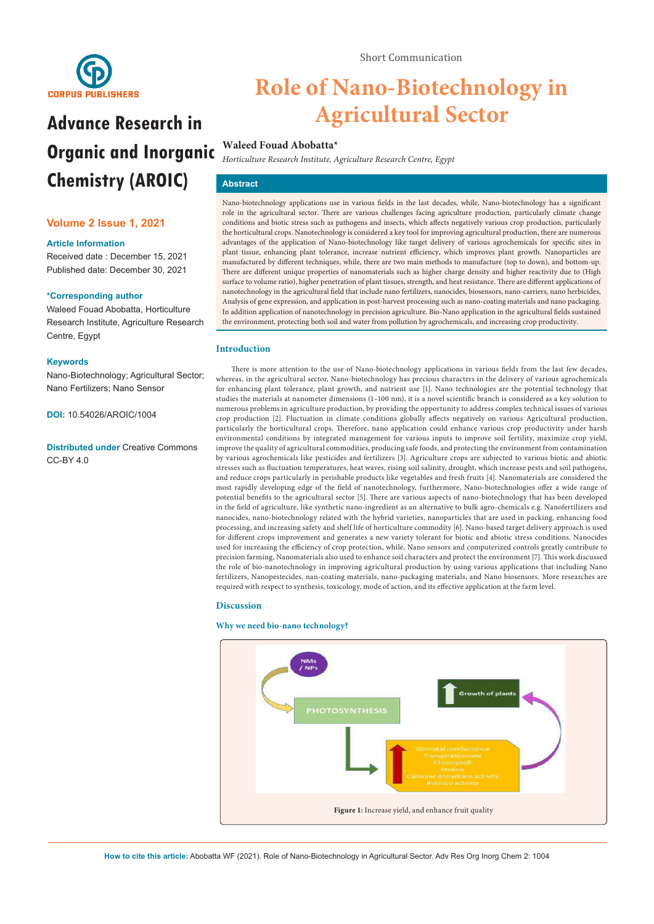

# **Advance Research in Organic and Inorganic Chemistry (AROIC)**

# **Volume 2 Issue 1, 2021**

#### **Article Information**

Received date : December 15, 2021 Published date: December 30, 2021

## **\*Corresponding author**

Waleed Fouad Abobatta, Horticulture Research Institute, Agriculture Research Centre, Egypt

#### **Keywords**

Nano-Biotechnology; Agricultural Sector; Nano Fertilizers; Nano Sensor

**DOI:** 10.54026/AROIC/1004

**Distributed under** [Creative Commons](https://creativecommons.org/licenses/by/4.0/)  [CC-BY 4.0](https://creativecommons.org/licenses/by/4.0/)

# **Role of Nano-Biotechnology in Agricultural Sector**

## **Waleed Fouad Abobatta\***

*Horticulture Research Institute, Agriculture Research Centre, Egypt* 

# **Abstract**

Nano-biotechnology applications use in various fields in the last decades, while, Nano-biotechnology has a significant role in the agricultural sector. There are various challenges facing agriculture production, particularly climate change conditions and biotic stress such as pathogens and insects, which affects negatively various crop production, particularly the horticultural crops. Nanotechnology is considered a key tool for improving agricultural production, there are numerous advantages of the application of Nano-biotechnology like target delivery of various agrochemicals for specific sites in plant tissue, enhancing plant tolerance, increase nutrient efficiency, which improves plant growth. Nanoparticles are manufactured by different techniques, while, there are two main methods to manufacture (top to down), and bottom-up. There are different unique properties of nanomaterials such as higher charge density and higher reactivity due to (High surface to volume ratio), higher penetration of plant tissues, strength, and heat resistance. There are different applications of nanotechnology in the agricultural field that include nano fertilizers, nanocides, biosensors, nano-carriers, nano herbicides, Analysis of gene expression, and application in post-harvest processing such as nano-coating materials and nano packaging. In addition application of nanotechnology in precision agriculture. Bio-Nano application in the agricultural fields sustained the environment, protecting both soil and water from pollution by agrochemicals, and increasing crop productivity.

## **Introduction**

There is more attention to the use of Nano-biotechnology applications in various fields from the last few decades, whereas, in the agricultural sector, Nano-biotechnology has precious characters in the delivery of various agrochemicals for enhancing plant tolerance, plant growth, and nutrient use [1]. Nano technologies are the potential technology that studies the materials at nanometer dimensions (1–100 nm), it is a novel scientific branch is considered as a key solution to numerous problems in agriculture production, by providing the opportunity to address complex technical issues of various crop production [2]. Fluctuation in climate conditions globally affects negatively on various Agricultural production, particularly the horticultural crops. Therefore, nano application could enhance various crop productivity under harsh environmental conditions by integrated management for various inputs to improve soil fertility, maximize crop yield, improve the quality of agricultural commodities, producing safe foods, and protecting the environment from contamination by various agrochemicals like pesticides and fertilizers [3]. Agriculture crops are subjected to various biotic and abiotic stresses such as fluctuation temperatures, heat waves, rising soil salinity, drought, which increase pests and soil pathogens, and reduce crops particularly in perishable products like vegetables and fresh fruits [4]. Nanomaterials are considered the most rapidly developing edge of the field of nanotechnology, furthermore, Nano-biotechnologies offer a wide range of potential benefits to the agricultural sector [5]. There are various aspects of nano-biotechnology that has been developed in the field of agriculture, like synthetic nano-ingredient as an alternative to bulk agro-chemicals e.g. Nanofertilizers and nanocides, nano-biotechnology related with the hybrid varieties, nanoparticles that are used in packing, enhancing food processing, and increasing safety and shelf life of horticulture commodity [6]. Nano-based target delivery approach is used for different crops improvement and generates a new variety tolerant for biotic and abiotic stress conditions. Nanocides used for increasing the efficiency of crop protection, while, Nano sensors and computerized controls greatly contribute to precision farming, Nanomaterials also used to enhance soil characters and protect the environment [7]. This work discussed the role of bio-nanotechnology in improving agricultural production by using various applications that including Nano fertilizers, Nanopestecides, nan-coating materials, nano-packaging materials, and Nano biosensors. More researches are required with respect to synthesis, toxicology, mode of action, and its effective application at the farm level.

## **Discussion**

#### **Why we need bio-nano technology?**

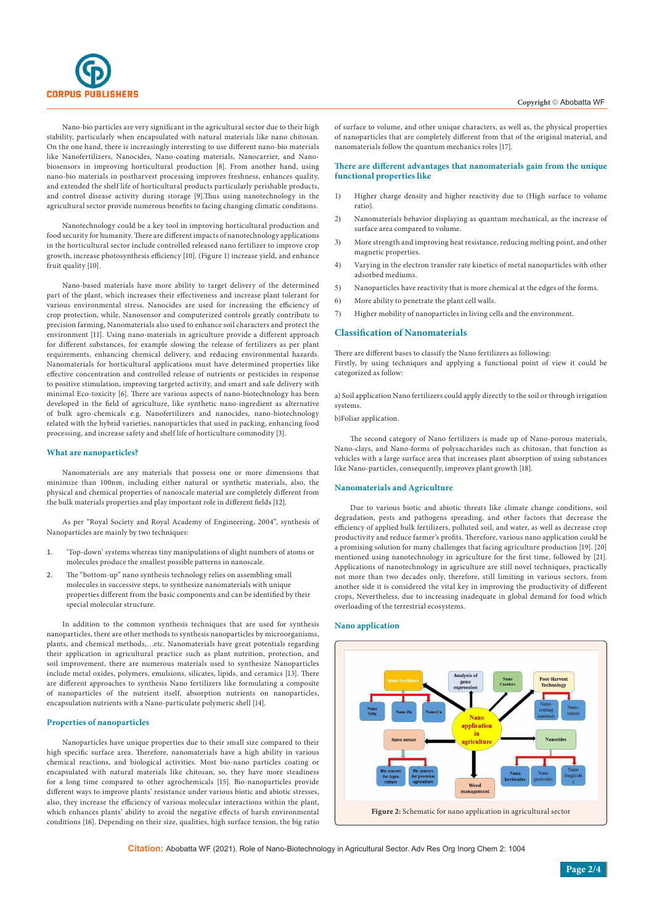

Nano-bio particles are very significant in the agricultural sector due to their high stability, particularly when encapsulated with natural materials like nano chitosan. On the one hand, there is increasingly interesting to use different nano-bio materials like Nanofertilizers, Nanocides, Nano-coating materials, Nanocarrier, and Nanobiosensors in improving horticultural production [8]. From another hand, using nano-bio materials in postharvest processing improves freshness, enhances quality, and extended the shelf life of horticultural products particularly perishable products, and control disease activity during storage [9].Thus using nanotechnology in the agricultural sector provide numerous benefits to facing changing climatic conditions.

Nanotechnology could be a key tool in improving horticultural production and food security for humanity. There are different impacts of nanotechnology applications in the horticultural sector include controlled released nano fertilizer to improve crop growth, increase photosynthesis efficiency [10]. (Figure 1) increase yield, and enhance fruit quality [10].

Nano-based materials have more ability to target delivery of the determined part of the plant, which increases their effectiveness and increase plant tolerant for various environmental stress. Nanocides are used for increasing the efficiency of crop protection, while, Nanosensor and computerized controls greatly contribute to precision farming, Nanomaterials also used to enhance soil characters and protect the environment [11]. Using nano-materials in agriculture provide a different approach for different substances, for example slowing the release of fertilizers as per plant requirements, enhancing chemical delivery, and reducing environmental hazards. Nanomaterials for horticultural applications must have determined properties like effective concentration and controlled release of nutrients or pesticides in response to positive stimulation, improving targeted activity, and smart and safe delivery with minimal Eco-toxicity [6]. There are various aspects of nano-biotechnology has been developed in the field of agriculture, like synthetic nano-ingredient as alternative of bulk agro-chemicals e.g. Nanofertilizers and nanocides, nano-biotechnology related with the hybrid varieties, nanoparticles that used in packing, enhancing food processing, and increase safety and shelf life of horticulture commodity [3].

#### **What are nanoparticles?**

Nanomaterials are any materials that possess one or more dimensions that minimize than 100nm, including either natural or synthetic materials, also, the physical and chemical properties of nanoscale material are completely different from the bulk materials properties and play important role in different fields [12].

As per "Royal Society and Royal Academy of Engineering, 2004", synthesis of Nanoparticles are mainly by two techniques:

- 1. 'Top-down' systems whereas tiny manipulations of slight numbers of atoms or molecules produce the smallest possible patterns in nanoscale.
- 2. The "bottom-up" nano synthesis technology relies on assembling small molecules in successive steps, to synthesize nanomaterials with unique properties different from the basic components and can be identified by their special molecular structure.

In addition to the common synthesis techniques that are used for synthesis nanoparticles, there are other methods to synthesis nanoparticles by microorganisms, plants, and chemical methods,…etc. Nanomaterials have great potentials regarding their application in agricultural practice such as plant nutrition, protection, and soil improvement, there are numerous materials used to synthesize Nanoparticles include metal oxides, polymers, emulsions, silicates, lipids, and ceramics [13]. There are different approaches to synthesis Nano fertilizers like formulating a composite of nanoparticles of the nutrient itself, absorption nutrients on nanoparticles, encapsulation nutrients with a Nano-particulate polymeric shell [14].

#### **Properties of nanoparticles**

Nanoparticles have unique properties due to their small size compared to their high specific surface area. Therefore, nanomaterials have a high ability in various chemical reactions, and biological activities. Most bio-nano particles coating or encapsulated with natural materials like chitosan, so, they have more steadiness for a long time compared to other agrochemicals [15]. Bio-nanoparticles provide different ways to improve plants' resistance under various biotic and abiotic stresses, also, they increase the efficiency of various molecular interactions within the plant, which enhances plants' ability to avoid the negative effects of harsh environmental conditions [16]. Depending on their size, qualities, high surface tension, the big ratio of surface to volume, and other unique characters, as well as, the physical properties of nanoparticles that are completely different from that of the original material, and nanomaterials follow the quantum mechanics roles [17].

#### **There are different advantages that nanomaterials gain from the unique functional properties like**

- 1) Higher charge density and higher reactivity due to (High surface to volume ratio).
- 2) Nanomaterials behavior displaying as quantum mechanical, as the increase of surface area compared to volume.
- 3) More strength and improving heat resistance, reducing melting point, and other magnetic properties.
- 4) Varying in the electron transfer rate kinetics of metal nanoparticles with other adsorbed mediums.
- 5) Nanoparticles have reactivity that is more chemical at the edges of the forms.
- 6) More ability to penetrate the plant cell walls.
- 7) Higher mobility of nanoparticles in living cells and the environment.

#### **Classification of Nanomaterials**

There are different bases to classify the Nano fertilizers as following: Firstly, by using techniques and applying a functional point of view it could be categorized as follow:

a) Soil application Nano fertilizers could apply directly to the soil or through irrigation systems.

b)Foliar application.

The second category of Nano fertilizers is made up of Nano-porous materials, Nano-clays, and Nano-forms of polysaccharides such as chitosan, that function as vehicles with a large surface area that increases plant absorption of using substances like Nano-particles, consequently, improves plant growth [18].

#### **Nanomaterials and Agriculture**

Due to various biotic and abiotic threats like climate change conditions, soil degradation, pests and pathogens spreading, and other factors that decrease the efficiency of applied bulk fertilizers, polluted soil, and water, as well as decrease crop productivity and reduce farmer's profits. Therefore, various nano application could be a promising solution for many challenges that facing agriculture production [19]. [20] mentioned using nanotechnology in agriculture for the first time, followed by [21]. Applications of nanotechnology in agriculture are still novel techniques, practically not more than two decades only, therefore, still limiting in various sectors, from another side it is considered the vital key in improving the productivity of different crops, Nevertheless, due to increasing inadequate in global demand for food which overloading of the terrestrial ecosystems.

#### **Nano application**



**Citation:** Abobatta WF (2021). Role of Nano-Biotechnology in Agricultural Sector. Adv Res Org Inorg Chem 2: 1004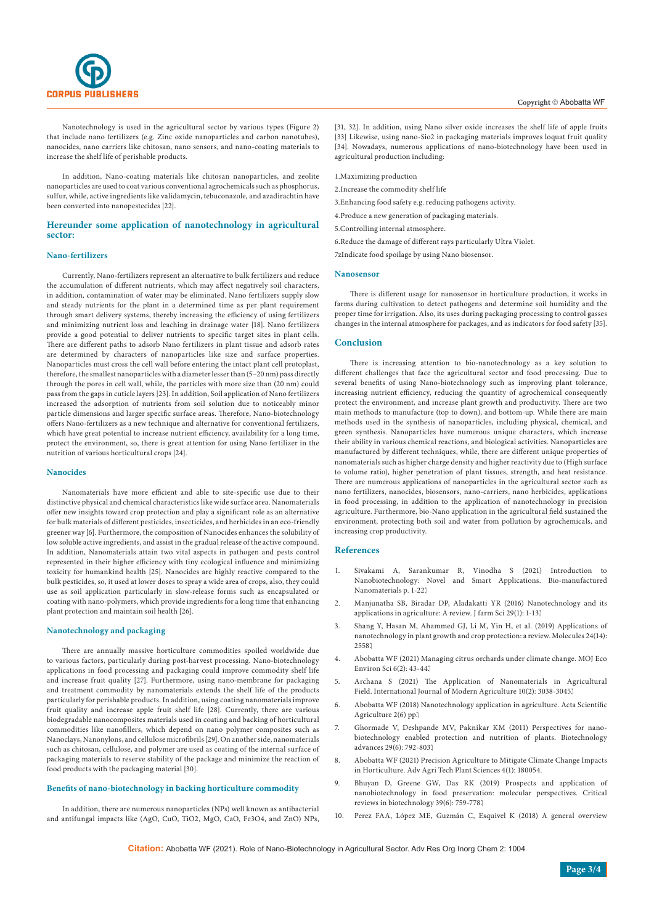

Nanotechnology is used in the agricultural sector by various types (Figure 2) that include nano fertilizers (e.g. Zinc oxide nanoparticles and carbon nanotubes), nanocides, nano carriers like chitosan, nano sensors, and nano-coating materials to increase the shelf life of perishable products.

In addition, Nano-coating materials like chitosan nanoparticles, and zeolite nanoparticles are used to coat various conventional agrochemicals such as phosphorus, sulfur, while, active ingredients like validamycin, tebuconazole, and azadirachtin have been converted into nanopestecides [22].

## **Hereunder some application of nanotechnology in agricultural sector:**

#### **Nano-fertilizers**

Currently, Nano-fertilizers represent an alternative to bulk fertilizers and reduce the accumulation of different nutrients, which may affect negatively soil characters, in addition, contamination of water may be eliminated. Nano fertilizers supply slow and steady nutrients for the plant in a determined time as per plant requirement through smart delivery systems, thereby increasing the efficiency of using fertilizers and minimizing nutrient loss and leaching in drainage water [18]. Nano fertilizers provide a good potential to deliver nutrients to specific target sites in plant cells. There are different paths to adsorb Nano fertilizers in plant tissue and adsorb rates are determined by characters of nanoparticles like size and surface properties. Nanoparticles must cross the cell wall before entering the intact plant cell protoplast, therefore, the smallest nanoparticles with a diameter lesser than (5–20 nm) pass directly through the pores in cell wall, while, the particles with more size than (20 nm) could pass from the gaps in cuticle layers [23]. In addition, Soil application of Nano fertilizers increased the adsorption of nutrients from soil solution due to noticeably minor particle dimensions and larger specific surface areas. Therefore, Nano-biotechnology offers Nano-fertilizers as a new technique and alternative for conventional fertilizers, which have great potential to increase nutrient efficiency, availability for a long time, protect the environment, so, there is great attention for using Nano fertilizer in the nutrition of various horticultural crops [24].

#### **Nanocides**

Nanomaterials have more efficient and able to site-specific use due to their distinctive physical and chemical characteristics like wide surface area. Nanomaterials offer new insights toward crop protection and play a significant role as an alternative for bulk materials of different pesticides, insecticides, and herbicides in an eco-friendly greener way [6]. Furthermore, the composition of Nanocides enhances the solubility of low soluble active ingredients, and assist in the gradual release of the active compound. In addition, Nanomaterials attain two vital aspects in pathogen and pests control represented in their higher efficiency with tiny ecological influence and minimizing toxicity for humankind health [25]. Nanocides are highly reactive compared to the bulk pesticides, so, it used at lower doses to spray a wide area of crops, also, they could use as soil application particularly in slow-release forms such as encapsulated or coating with nano-polymers, which provide ingredients for a long time that enhancing plant protection and maintain soil health [26].

#### **Nanotechnology and packaging**

There are annually massive horticulture commodities spoiled worldwide due to various factors, particularly during post-harvest processing. Nano-biotechnology applications in food processing and packaging could improve commodity shelf life and increase fruit quality [27]. Furthermore, using nano-membrane for packaging and treatment commodity by nanomaterials extends the shelf life of the products particularly for perishable products. In addition, using coating nanomaterials improve fruit quality and increase apple fruit shelf life [28]. Currently, there are various biodegradable nanocomposites materials used in coating and backing of horticultural commodities like nanofillers, which depend on nano polymer composites such as Nanoclays, Nanonylons, and cellulose microfibrils [29]. On another side, nanomaterials such as chitosan, cellulose, and polymer are used as coating of the internal surface of packaging materials to reserve stability of the package and minimize the reaction of food products with the packaging material [30].

#### **Benefits of nano-biotechnology in backing horticulture commodity**

In addition, there are numerous nanoparticles (NPs) well known as antibacterial and antifungal impacts like (AgO, CuO, TiO2, MgO, CaO, Fe3O4, and ZnO) NPs,

[31, 32]. In addition, using Nano silver oxide increases the shelf life of apple fruits [33] Likewise, using nano-Sio2 in packaging materials improves loquat fruit quality [34]. Nowadays, numerous applications of nano-biotechnology have been used in agricultural production including:

1.Maximizing production

- 2.Increase the commodity shelf life
- 3.Enhancing food safety e.g. reducing pathogens activity.
- 4.Produce a new generation of packaging materials.

5.Controlling internal atmosphere.

6.Reduce the damage of different rays particularly Ultra Violet.

7zIndicate food spoilage by using Nano biosensor.

#### **Nanosensor**

There is different usage for nanosensor in horticulture production, it works in farms during cultivation to detect pathogens and determine soil humidity and the proper time for irrigation. Also, its uses during packaging processing to control gasses changes in the internal atmosphere for packages, and as indicators for food safety [35].

#### **Conclusion**

There is increasing attention to bio-nanotechnology as a key solution to different challenges that face the agricultural sector and food processing. Due to several benefits of using Nano-biotechnology such as improving plant tolerance, increasing nutrient efficiency, reducing the quantity of agrochemical consequently protect the environment, and increase plant growth and productivity. There are two main methods to manufacture (top to down), and bottom-up. While there are main methods used in the synthesis of nanoparticles, including physical, chemical, and green synthesis. Nanoparticles have numerous unique characters, which increase their ability in various chemical reactions, and biological activities. Nanoparticles are manufactured by different techniques, while, there are different unique properties of nanomaterials such as higher charge density and higher reactivity due to (High surface to volume ratio), higher penetration of plant tissues, strength, and heat resistance. There are numerous applications of nanoparticles in the agricultural sector such as nano fertilizers, nanocides, biosensors, nano-carriers, nano herbicides, applications in food processing, in addition to the application of nanotechnology in precision agriculture. Furthermore, bio-Nano application in the agricultural field sustained the environment, protecting both soil and water from pollution by agrochemicals, and increasing crop productivity.

## **References**

- 1. Sivakami A, Sarankumar R, Vinodha S (2021) Introduction to Nanobiotechnology: Novel and Smart Applications. Bio-manufactured Nanomaterials p. 1-22.
- 2. Manjunatha SB, Biradar DP, Aladakatti YR (2016) Nanotechnology and its applications in agriculture: A review. J farm Sci 29(1): 1-13.
- 3. [Shang Y, Hasan M, Ahammed GJ, Li M, Yin H, et al. \(2019\) Applications of](https://pubmed.ncbi.nlm.nih.gov/31337070/)  [nanotechnology in plant growth and crop protection: a review. Molecules 24\(14\):](https://pubmed.ncbi.nlm.nih.gov/31337070/)  [2558.](https://pubmed.ncbi.nlm.nih.gov/31337070/)
- 4. [Abobatta WF \(2021\) Managing citrus orchards under climate change. MOJ Eco](https://medcraveonline.com/MOJES/managing-citrus-orchards-under-climate-change.html)  [Environ Sci 6\(2\): 43-44.](https://medcraveonline.com/MOJES/managing-citrus-orchards-under-climate-change.html)
- 5. Archana S (2021) The Application of Nanomaterials in Agricultural Field. International Journal of Modern Agriculture 10(2): 3038-3045.
- 6. Abobatta WF (2018) Nanotechnology application in agriculture. Acta Scientific Agriculture 2(6) pp.
- 7. [Ghormade V, Deshpande MV, Paknikar KM \(2011\) Perspectives for nano](https://pubmed.ncbi.nlm.nih.gov/21729746/)[biotechnology enabled protection and nutrition of plants. Biotechnology](https://pubmed.ncbi.nlm.nih.gov/21729746/)  advances 29(6): 792-803.
- 8. Abobatta WF (2021) Precision Agriculture to Mitigate Climate Change Impacts in Horticulture. Adv Agri Tech Plant Sciences 4(1): 180054.
- 9. [Bhuyan D, Greene GW, Das RK \(2019\) Prospects and application of](https://pubmed.ncbi.nlm.nih.gov/31167574/)  [nanobiotechnology in food preservation: molecular perspectives. Critical](https://pubmed.ncbi.nlm.nih.gov/31167574/)  [reviews in biotechnology 39\(6\): 759-778.](https://pubmed.ncbi.nlm.nih.gov/31167574/)
- 10. [Perez FAA, López ME, Guzmán C, Esquivel K \(2018\) A general overview](https://www.sciencedirect.com/science/article/abs/pii/S030442381830236X)

**Citation:** Abobatta WF (2021). Role of Nano-Biotechnology in Agricultural Sector. Adv Res Org Inorg Chem 2: 1004